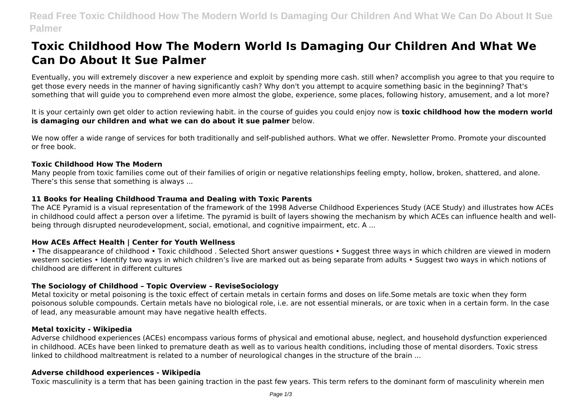# **Read Free Toxic Childhood How The Modern World Is Damaging Our Children And What We Can Do About It Sue Palmer**

# **Toxic Childhood How The Modern World Is Damaging Our Children And What We Can Do About It Sue Palmer**

Eventually, you will extremely discover a new experience and exploit by spending more cash. still when? accomplish you agree to that you require to get those every needs in the manner of having significantly cash? Why don't you attempt to acquire something basic in the beginning? That's something that will guide you to comprehend even more almost the globe, experience, some places, following history, amusement, and a lot more?

It is your certainly own get older to action reviewing habit. in the course of guides you could enjoy now is **toxic childhood how the modern world is damaging our children and what we can do about it sue palmer** below.

We now offer a wide range of services for both traditionally and self-published authors. What we offer. Newsletter Promo. Promote your discounted or free book.

#### **Toxic Childhood How The Modern**

Many people from toxic families come out of their families of origin or negative relationships feeling empty, hollow, broken, shattered, and alone. There's this sense that something is always ...

#### **11 Books for Healing Childhood Trauma and Dealing with Toxic Parents**

The ACE Pyramid is a visual representation of the framework of the 1998 Adverse Childhood Experiences Study (ACE Study) and illustrates how ACEs in childhood could affect a person over a lifetime. The pyramid is built of layers showing the mechanism by which ACEs can influence health and wellbeing through disrupted neurodevelopment, social, emotional, and cognitive impairment, etc. A ...

#### **How ACEs Affect Health | Center for Youth Wellness**

• The disappearance of childhood • Toxic childhood . Selected Short answer questions • Suggest three ways in which children are viewed in modern western societies • Identify two ways in which children's live are marked out as being separate from adults • Suggest two ways in which notions of childhood are different in different cultures

#### **The Sociology of Childhood – Topic Overview – ReviseSociology**

Metal toxicity or metal poisoning is the toxic effect of certain metals in certain forms and doses on life.Some metals are toxic when they form poisonous soluble compounds. Certain metals have no biological role, i.e. are not essential minerals, or are toxic when in a certain form. In the case of lead, any measurable amount may have negative health effects.

#### **Metal toxicity - Wikipedia**

Adverse childhood experiences (ACEs) encompass various forms of physical and emotional abuse, neglect, and household dysfunction experienced in childhood. ACEs have been linked to premature death as well as to various health conditions, including those of mental disorders. Toxic stress linked to childhood maltreatment is related to a number of neurological changes in the structure of the brain ...

#### **Adverse childhood experiences - Wikipedia**

Toxic masculinity is a term that has been gaining traction in the past few years. This term refers to the dominant form of masculinity wherein men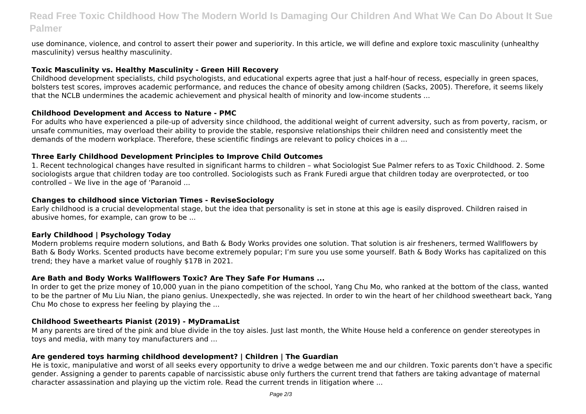## **Read Free Toxic Childhood How The Modern World Is Damaging Our Children And What We Can Do About It Sue Palmer**

use dominance, violence, and control to assert their power and superiority. In this article, we will define and explore toxic masculinity (unhealthy masculinity) versus healthy masculinity.

#### **Toxic Masculinity vs. Healthy Masculinity - Green Hill Recovery**

Childhood development specialists, child psychologists, and educational experts agree that just a half-hour of recess, especially in green spaces, bolsters test scores, improves academic performance, and reduces the chance of obesity among children (Sacks, 2005). Therefore, it seems likely that the NCLB undermines the academic achievement and physical health of minority and low-income students ...

#### **Childhood Development and Access to Nature - PMC**

For adults who have experienced a pile-up of adversity since childhood, the additional weight of current adversity, such as from poverty, racism, or unsafe communities, may overload their ability to provide the stable, responsive relationships their children need and consistently meet the demands of the modern workplace. Therefore, these scientific findings are relevant to policy choices in a ...

#### **Three Early Childhood Development Principles to Improve Child Outcomes**

1. Recent technological changes have resulted in significant harms to children – what Sociologist Sue Palmer refers to as Toxic Childhood. 2. Some sociologists argue that children today are too controlled. Sociologists such as Frank Furedi argue that children today are overprotected, or too controlled – We live in the age of 'Paranoid ...

#### **Changes to childhood since Victorian Times - ReviseSociology**

Early childhood is a crucial developmental stage, but the idea that personality is set in stone at this age is easily disproved. Children raised in abusive homes, for example, can grow to be ...

## **Early Childhood | Psychology Today**

Modern problems require modern solutions, and Bath & Body Works provides one solution. That solution is air fresheners, termed Wallflowers by Bath & Body Works. Scented products have become extremely popular; I'm sure you use some yourself. Bath & Body Works has capitalized on this trend; they have a market value of roughly \$17B in 2021.

#### **Are Bath and Body Works Wallflowers Toxic? Are They Safe For Humans ...**

In order to get the prize money of 10,000 yuan in the piano competition of the school, Yang Chu Mo, who ranked at the bottom of the class, wanted to be the partner of Mu Liu Nian, the piano genius. Unexpectedly, she was rejected. In order to win the heart of her childhood sweetheart back, Yang Chu Mo chose to express her feeling by playing the ...

#### **Childhood Sweethearts Pianist (2019) - MyDramaList**

M any parents are tired of the pink and blue divide in the toy aisles. Just last month, the White House held a conference on gender stereotypes in toys and media, with many toy manufacturers and ...

## **Are gendered toys harming childhood development? | Children | The Guardian**

He is toxic, manipulative and worst of all seeks every opportunity to drive a wedge between me and our children. Toxic parents don't have a specific gender. Assigning a gender to parents capable of narcissistic abuse only furthers the current trend that fathers are taking advantage of maternal character assassination and playing up the victim role. Read the current trends in litigation where ...